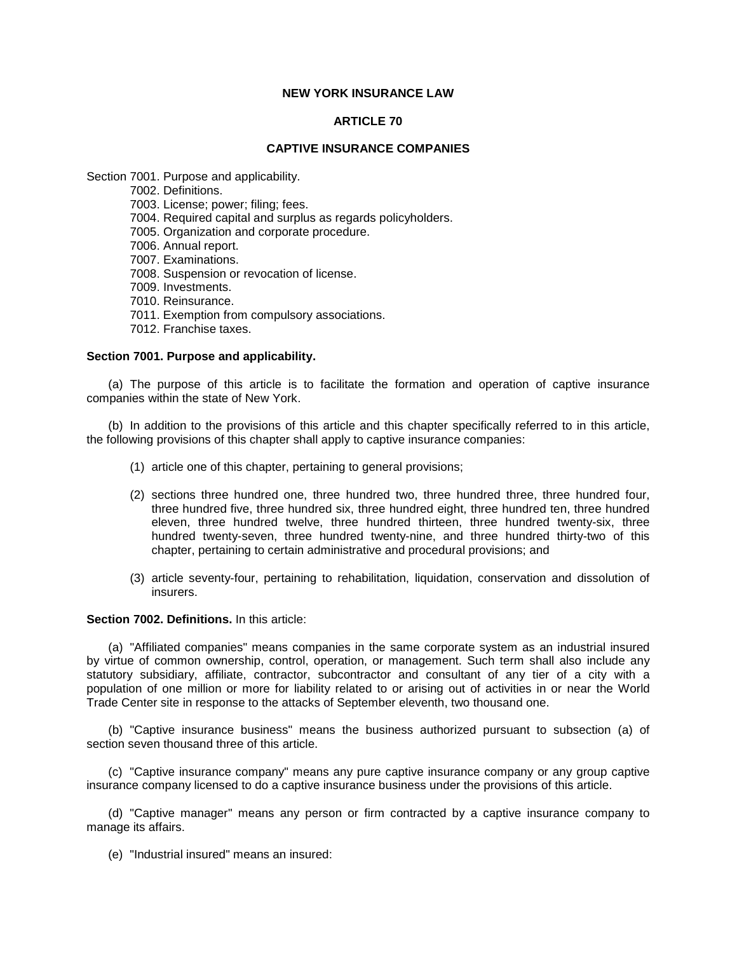# **NEW YORK INSURANCE LAW**

## **ARTICLE 70**

## **CAPTIVE INSURANCE COMPANIES**

Section 7001. Purpose and applicability.

7002. Definitions.

7003. License; power; filing; fees.

7004. Required capital and surplus as regards policyholders.

7005. Organization and corporate procedure.

7006. Annual report.

7007. Examinations.

7008. Suspension or revocation of license.

7009. Investments.

7010. Reinsurance.

7011. Exemption from compulsory associations.

7012. Franchise taxes.

# **Section 7001. Purpose and applicability.**

 (a) The purpose of this article is to facilitate the formation and operation of captive insurance companies within the state of New York.

 (b) In addition to the provisions of this article and this chapter specifically referred to in this article, the following provisions of this chapter shall apply to captive insurance companies:

- (1) article one of this chapter, pertaining to general provisions;
- (2) sections three hundred one, three hundred two, three hundred three, three hundred four, three hundred five, three hundred six, three hundred eight, three hundred ten, three hundred eleven, three hundred twelve, three hundred thirteen, three hundred twenty-six, three hundred twenty-seven, three hundred twenty-nine, and three hundred thirty-two of this chapter, pertaining to certain administrative and procedural provisions; and
- (3) article seventy-four, pertaining to rehabilitation, liquidation, conservation and dissolution of insurers.

### **Section 7002. Definitions.** In this article:

 (a) "Affiliated companies" means companies in the same corporate system as an industrial insured by virtue of common ownership, control, operation, or management. Such term shall also include any population of one million or more for liability related to or arising out of activities in or near the World statutory subsidiary, affiliate, contractor, subcontractor and consultant of any tier of a city with a Trade Center site in response to the attacks of September eleventh, two thousand one.

 (b) "Captive insurance business" means the business authorized pursuant to subsection (a) of section seven thousand three of this article.

 (c) "Captive insurance company" means any pure captive insurance company or any group captive insurance company licensed to do a captive insurance business under the provisions of this article.

(d) "Captive manager" means any person or firm contracted by a captive insurance company to manage its affairs.

(e) "Industrial insured" means an insured: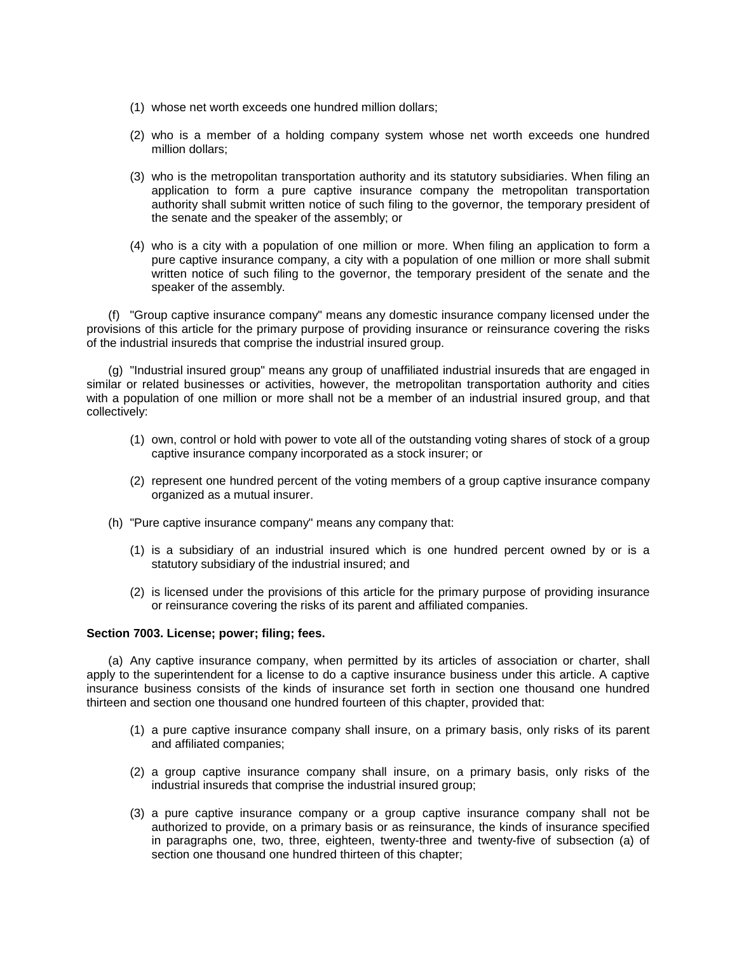- (1) whose net worth exceeds one hundred million dollars;
- (2) who is a member of a holding company system whose net worth exceeds one hundred million dollars;
- application to form a pure captive insurance company the metropolitan transportation authority shall submit written notice of such filing to the governor, the temporary president of (3) who is the metropolitan transportation authority and its statutory subsidiaries. When filing an the senate and the speaker of the assembly; or
- pure captive insurance company, a city with a population of one million or more shall submit written notice of such filing to the governor, the temporary president of the senate and the (4) who is a city with a population of one million or more. When filing an application to form a speaker of the assembly.

 (f) "Group captive insurance company" means any domestic insurance company licensed under the provisions of this article for the primary purpose of providing insurance or reinsurance covering the risks of the industrial insureds that comprise the industrial insured group.

(g) "Industrial insured group" means any group of unaffiliated industrial insureds that are engaged in similar or related businesses or activities, however, the metropolitan transportation authority and cities with a population of one million or more shall not be a member of an industrial insured group, and that collectively:

- (1) own, control or hold with power to vote all of the outstanding voting shares of stock of a group captive insurance company incorporated as a stock insurer; or
- (2) represent one hundred percent of the voting members of a group captive insurance company organized as a mutual insurer.
- (h) "Pure captive insurance company" means any company that:
	- (1) is a subsidiary of an industrial insured which is one hundred percent owned by or is a statutory subsidiary of the industrial insured; and
	- (2) is licensed under the provisions of this article for the primary purpose of providing insurance or reinsurance covering the risks of its parent and affiliated companies.

# **Section 7003. License; power; filing; fees.**

 (a) Any captive insurance company, when permitted by its articles of association or charter, shall insurance business consists of the kinds of insurance set forth in section one thousand one hundred apply to the superintendent for a license to do a captive insurance business under this article. A captive thirteen and section one thousand one hundred fourteen of this chapter, provided that:

- (1) a pure captive insurance company shall insure, on a primary basis, only risks of its parent and affiliated companies;
- (2) a group captive insurance company shall insure, on a primary basis, only risks of the industrial insureds that comprise the industrial insured group;
- (3) a pure captive insurance company or a group captive insurance company shall not be authorized to provide, on a primary basis or as reinsurance, the kinds of insurance specified in paragraphs one, two, three, eighteen, twenty-three and twenty-five of subsection (a) of section one thousand one hundred thirteen of this chapter;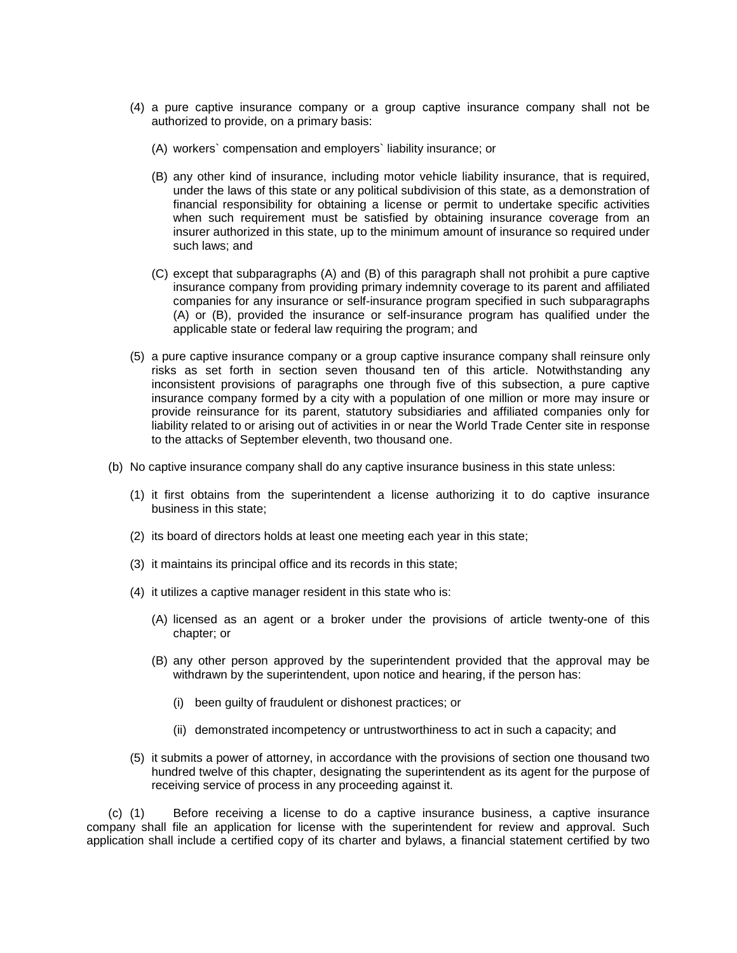- (4) a pure captive insurance company or a group captive insurance company shall not be authorized to provide, on a primary basis:
	- (A) workers` compensation and employers` liability insurance; or
	- (B) any other kind of insurance, including motor vehicle liability insurance, that is required, under the laws of this state or any political subdivision of this state, as a demonstration of financial responsibility for obtaining a license or permit to undertake specific activities when such requirement must be satisfied by obtaining insurance coverage from an insurer authorized in this state, up to the minimum amount of insurance so required under such laws; and
	- insurance company from providing primary indemnity coverage to its parent and affiliated (C) except that subparagraphs (A) and (B) of this paragraph shall not prohibit a pure captive companies for any insurance or self-insurance program specified in such subparagraphs (A) or (B), provided the insurance or self-insurance program has qualified under the applicable state or federal law requiring the program; and
- risks as set forth in section seven thousand ten of this article. Notwithstanding any insurance company formed by a city with a population of one million or more may insure or liability related to or arising out of activities in or near the World Trade Center site in response (5) a pure captive insurance company or a group captive insurance company shall reinsure only inconsistent provisions of paragraphs one through five of this subsection, a pure captive provide reinsurance for its parent, statutory subsidiaries and affiliated companies only for to the attacks of September eleventh, two thousand one.
- (b) No captive insurance company shall do any captive insurance business in this state unless:
	- (1) it first obtains from the superintendent a license authorizing it to do captive insurance business in this state;
	- (2) its board of directors holds at least one meeting each year in this state;
	- (3) it maintains its principal office and its records in this state;
	- (4) it utilizes a captive manager resident in this state who is:
		- (A) licensed as an agent or a broker under the provisions of article twenty-one of this chapter; or
		- (B) any other person approved by the superintendent provided that the approval may be withdrawn by the superintendent, upon notice and hearing, if the person has:
			- (i) been guilty of fraudulent or dishonest practices; or
			- (ii) demonstrated incompetency or untrustworthiness to act in such a capacity; and
	- (5) it submits a power of attorney, in accordance with the provisions of section one thousand two hundred twelve of this chapter, designating the superintendent as its agent for the purpose of receiving service of process in any proceeding against it.

 company shall file an application for license with the superintendent for review and approval. Such (c) (1) Before receiving a license to do a captive insurance business, a captive insurance application shall include a certified copy of its charter and bylaws, a financial statement certified by two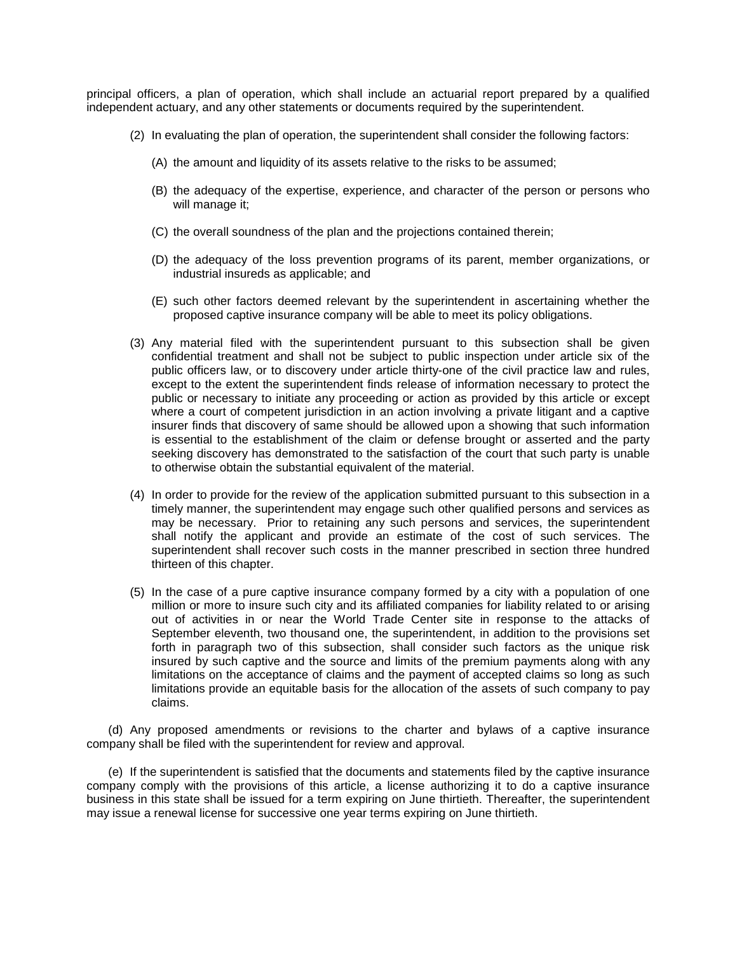principal officers, a plan of operation, which shall include an actuarial report prepared by a qualified independent actuary, and any other statements or documents required by the superintendent.

- (2) In evaluating the plan of operation, the superintendent shall consider the following factors:
	- (A) the amount and liquidity of its assets relative to the risks to be assumed;
	- (B) the adequacy of the expertise, experience, and character of the person or persons who will manage it;
	- (C) the overall soundness of the plan and the projections contained therein;
	- (D) the adequacy of the loss prevention programs of its parent, member organizations, or industrial insureds as applicable; and
	- (E) such other factors deemed relevant by the superintendent in ascertaining whether the proposed captive insurance company will be able to meet its policy obligations.
- confidential treatment and shall not be subject to public inspection under article six of the public officers law, or to discovery under article thirty-one of the civil practice law and rules, public or necessary to initiate any proceeding or action as provided by this article or except where a court of competent jurisdiction in an action involving a private litigant and a captive insurer finds that discovery of same should be allowed upon a showing that such information seeking discovery has demonstrated to the satisfaction of the court that such party is unable (3) Any material filed with the superintendent pursuant to this subsection shall be given except to the extent the superintendent finds release of information necessary to protect the is essential to the establishment of the claim or defense brought or asserted and the party to otherwise obtain the substantial equivalent of the material.
- (4) In order to provide for the review of the application submitted pursuant to this subsection in a timely manner, the superintendent may engage such other qualified persons and services as may be necessary. Prior to retaining any such persons and services, the superintendent shall notify the applicant and provide an estimate of the cost of such services. The superintendent shall recover such costs in the manner prescribed in section three hundred thirteen of this chapter.
- (5) In the case of a pure captive insurance company formed by a city with a population of one million or more to insure such city and its affiliated companies for liability related to or arising out of activities in or near the World Trade Center site in response to the attacks of insured by such captive and the source and limits of the premium payments along with any limitations on the acceptance of claims and the payment of accepted claims so long as such September eleventh, two thousand one, the superintendent, in addition to the provisions set forth in paragraph two of this subsection, shall consider such factors as the unique risk limitations provide an equitable basis for the allocation of the assets of such company to pay claims.

 (d) Any proposed amendments or revisions to the charter and bylaws of a captive insurance company shall be filed with the superintendent for review and approval.

 company comply with the provisions of this article, a license authorizing it to do a captive insurance business in this state shall be issued for a term expiring on June thirtieth. Thereafter, the superintendent (e) If the superintendent is satisfied that the documents and statements filed by the captive insurance may issue a renewal license for successive one year terms expiring on June thirtieth.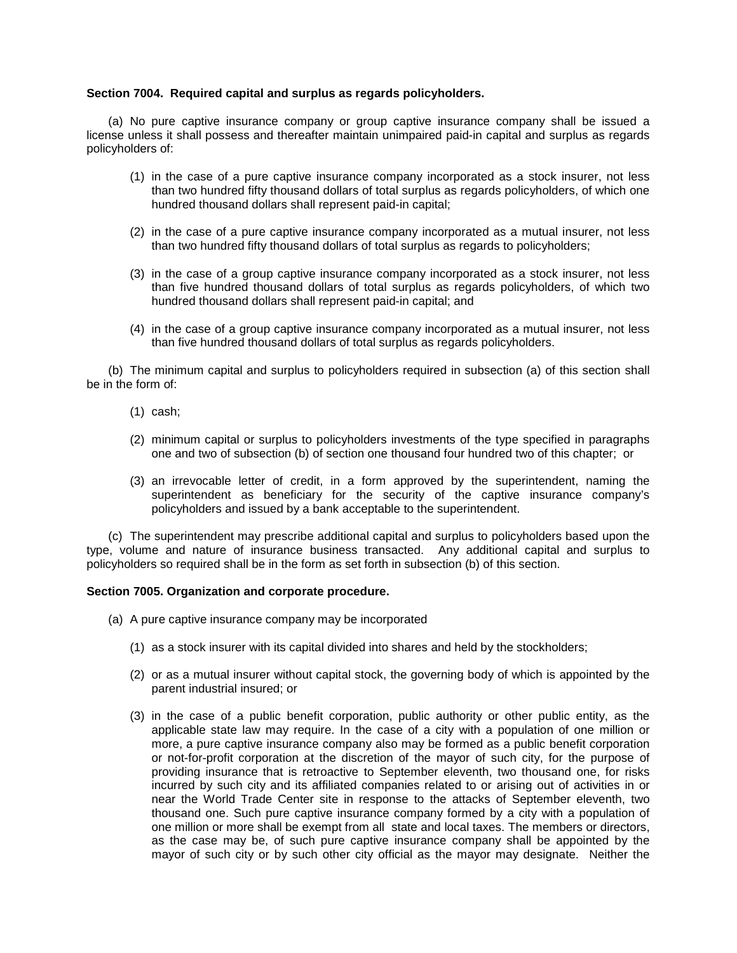## **Section 7004. Required capital and surplus as regards policyholders.**

 license unless it shall possess and thereafter maintain unimpaired paid-in capital and surplus as regards (a) No pure captive insurance company or group captive insurance company shall be issued a policyholders of:

- (1) in the case of a pure captive insurance company incorporated as a stock insurer, not less than two hundred fifty thousand dollars of total surplus as regards policyholders, of which one hundred thousand dollars shall represent paid-in capital;
- (2) in the case of a pure captive insurance company incorporated as a mutual insurer, not less than two hundred fifty thousand dollars of total surplus as regards to policyholders;
- than five hundred thousand dollars of total surplus as regards policyholders, of which two (3) in the case of a group captive insurance company incorporated as a stock insurer, not less hundred thousand dollars shall represent paid-in capital; and
- (4) in the case of a group captive insurance company incorporated as a mutual insurer, not less than five hundred thousand dollars of total surplus as regards policyholders.

(b) The minimum capital and surplus to policyholders required in subsection (a) of this section shall be in the form of:

- (1) cash;
- (2) minimum capital or surplus to policyholders investments of the type specified in paragraphs one and two of subsection (b) of section one thousand four hundred two of this chapter; or
- superintendent as beneficiary for the security of the captive insurance company's (3) an irrevocable letter of credit, in a form approved by the superintendent, naming the policyholders and issued by a bank acceptable to the superintendent.

(c) The superintendent may prescribe additional capital and surplus to policyholders based upon the type, volume and nature of insurance business transacted. Any additional capital and surplus to policyholders so required shall be in the form as set forth in subsection (b) of this section.

### **Section 7005. Organization and corporate procedure.**

- (a) A pure captive insurance company may be incorporated
	- (1) as a stock insurer with its capital divided into shares and held by the stockholders;
	- (2) or as a mutual insurer without capital stock, the governing body of which is appointed by the parent industrial insured; or
	- incurred by such city and its affiliated companies related to or arising out of activities in or near the World Trade Center site in response to the attacks of September eleventh, two thousand one. Such pure captive insurance company formed by a city with a population of one million or more shall be exempt from all state and local taxes. The members or directors, mayor of such city or by such other city official as the mayor may designate. Neither the (3) in the case of a public benefit corporation, public authority or other public entity, as the applicable state law may require. In the case of a city with a population of one million or more, a pure captive insurance company also may be formed as a public benefit corporation or not-for-profit corporation at the discretion of the mayor of such city, for the purpose of providing insurance that is retroactive to September eleventh, two thousand one, for risks as the case may be, of such pure captive insurance company shall be appointed by the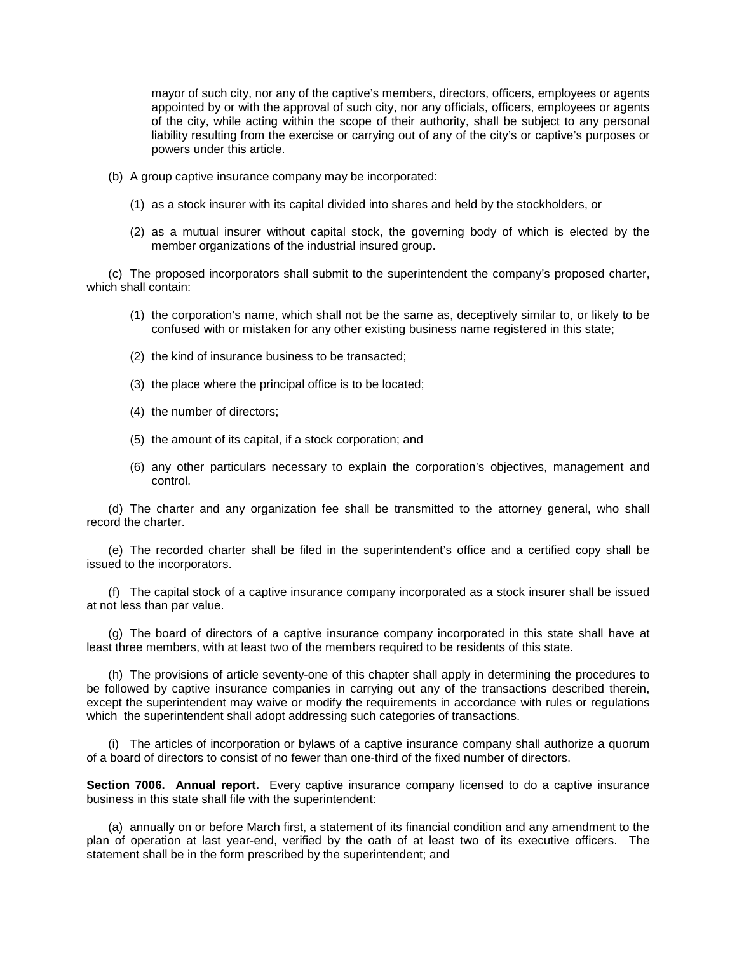mayor of such city, nor any of the captive's members, directors, officers, employees or agents appointed by or with the approval of such city, nor any officials, officers, employees or agents of the city, while acting within the scope of their authority, shall be subject to any personal liability resulting from the exercise or carrying out of any of the city's or captive's purposes or powers under this article.

- (b) A group captive insurance company may be incorporated:
	- (1) as a stock insurer with its capital divided into shares and held by the stockholders, or
	- (2) as a mutual insurer without capital stock, the governing body of which is elected by the member organizations of the industrial insured group.

 (c) The proposed incorporators shall submit to the superintendent the company's proposed charter, which shall contain:

- (1) the corporation's name, which shall not be the same as, deceptively similar to, or likely to be confused with or mistaken for any other existing business name registered in this state;
- (2) the kind of insurance business to be transacted;
- (3) the place where the principal office is to be located;
- (4) the number of directors;
- (5) the amount of its capital, if a stock corporation; and
- (6) any other particulars necessary to explain the corporation's objectives, management and control.

(d) The charter and any organization fee shall be transmitted to the attorney general, who shall record the charter.

(e) The recorded charter shall be filed in the superintendent's office and a certified copy shall be issued to the incorporators.

(f) The capital stock of a captive insurance company incorporated as a stock insurer shall be issued at not less than par value.

(g) The board of directors of a captive insurance company incorporated in this state shall have at least three members, with at least two of the members required to be residents of this state.

 (h) The provisions of article seventy-one of this chapter shall apply in determining the procedures to be followed by captive insurance companies in carrying out any of the transactions described therein, except the superintendent may waive or modify the requirements in accordance with rules or regulations which the superintendent shall adopt addressing such categories of transactions.

 (i) The articles of incorporation or bylaws of a captive insurance company shall authorize a quorum of a board of directors to consist of no fewer than one-third of the fixed number of directors.

Section 7006. Annual report. Every captive insurance company licensed to do a captive insurance business in this state shall file with the superintendent:

 plan of operation at last year-end, verified by the oath of at least two of its executive officers. The (a) annually on or before March first, a statement of its financial condition and any amendment to the statement shall be in the form prescribed by the superintendent; and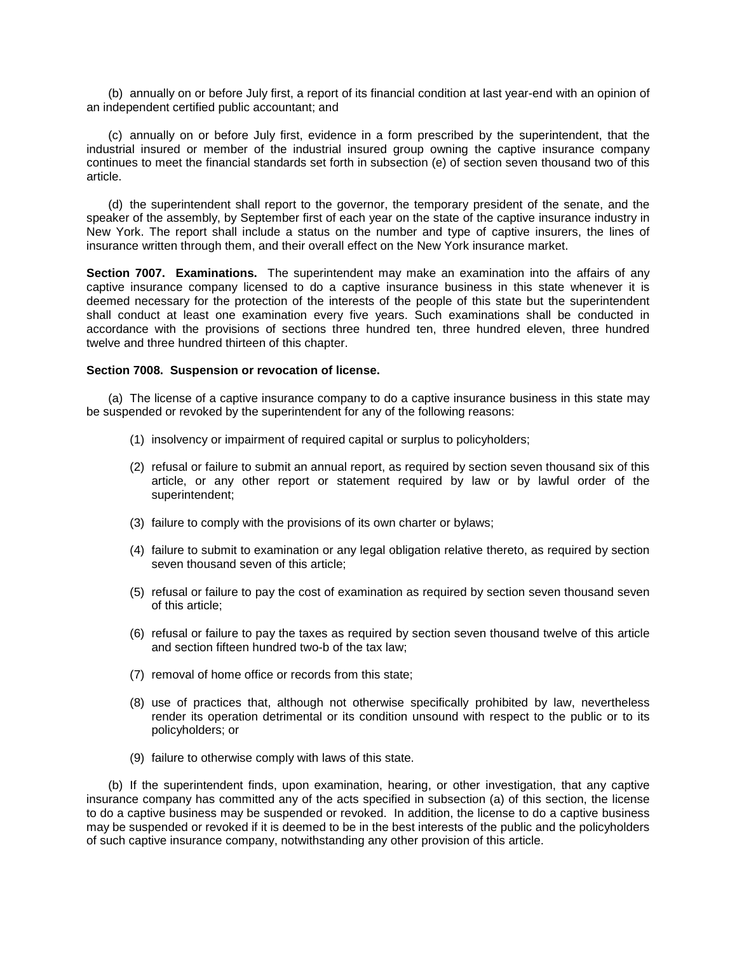(b) annually on or before July first, a report of its financial condition at last year-end with an opinion of an independent certified public accountant; and

 (c) annually on or before July first, evidence in a form prescribed by the superintendent, that the industrial insured or member of the industrial insured group owning the captive insurance company continues to meet the financial standards set forth in subsection (e) of section seven thousand two of this article.

 (d) the superintendent shall report to the governor, the temporary president of the senate, and the speaker of the assembly, by September first of each year on the state of the captive insurance industry in New York. The report shall include a status on the number and type of captive insurers, the lines of insurance written through them, and their overall effect on the New York insurance market.

 **Section 7007. Examinations.** The superintendent may make an examination into the affairs of any deemed necessary for the protection of the interests of the people of this state but the superintendent shall conduct at least one examination every five years. Such examinations shall be conducted in captive insurance company licensed to do a captive insurance business in this state whenever it is accordance with the provisions of sections three hundred ten, three hundred eleven, three hundred twelve and three hundred thirteen of this chapter.

### **Section 7008. Suspension or revocation of license.**

 (a) The license of a captive insurance company to do a captive insurance business in this state may be suspended or revoked by the superintendent for any of the following reasons:

- (1) insolvency or impairment of required capital or surplus to policyholders;
- (2) refusal or failure to submit an annual report, as required by section seven thousand six of this article, or any other report or statement required by law or by lawful order of the superintendent;
- (3) failure to comply with the provisions of its own charter or bylaws;
- (4) failure to submit to examination or any legal obligation relative thereto, as required by section seven thousand seven of this article;
- (5) refusal or failure to pay the cost of examination as required by section seven thousand seven of this article;
- (6) refusal or failure to pay the taxes as required by section seven thousand twelve of this article and section fifteen hundred two-b of the tax law;
- (7) removal of home office or records from this state;
- render its operation detrimental or its condition unsound with respect to the public or to its (8) use of practices that, although not otherwise specifically prohibited by law, nevertheless policyholders; or
- (9) failure to otherwise comply with laws of this state.

 (b) If the superintendent finds, upon examination, hearing, or other investigation, that any captive insurance company has committed any of the acts specified in subsection (a) of this section, the license to do a captive business may be suspended or revoked. In addition, the license to do a captive business may be suspended or revoked if it is deemed to be in the best interests of the public and the policyholders of such captive insurance company, notwithstanding any other provision of this article.